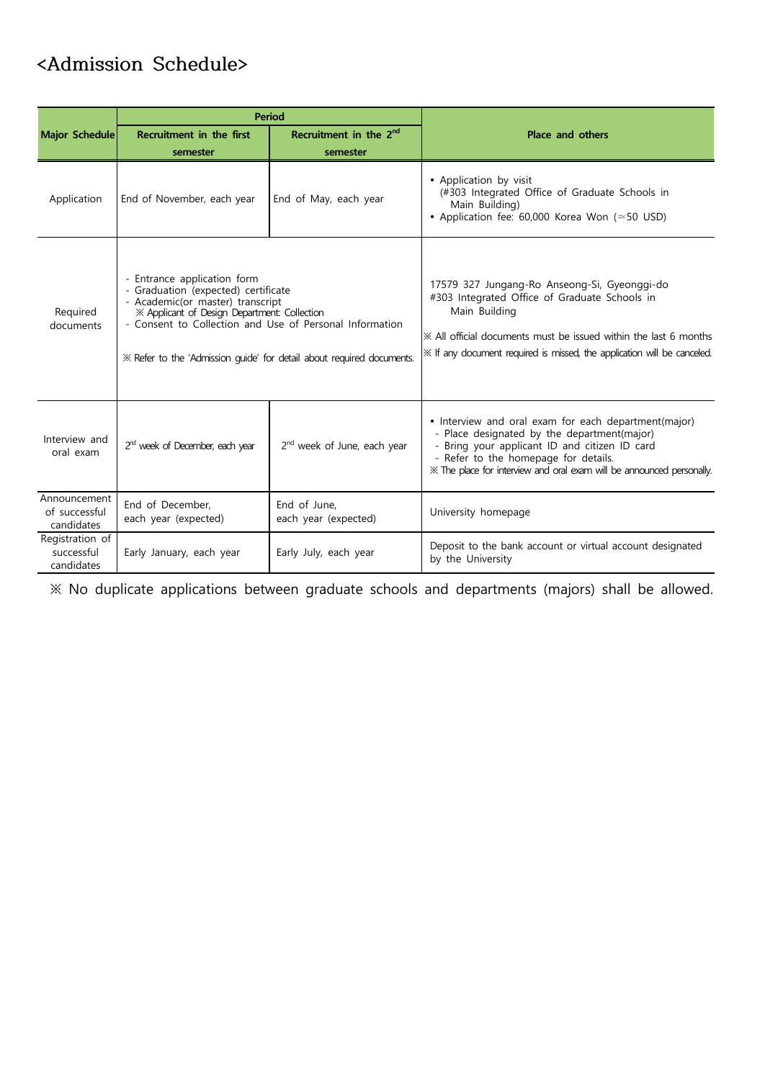## **<Admission Schedule>**

|                                             |                                                                                                                                                                                                                                                                                            | <b>Period</b>                           |                                                                                                                                                                                                                                                                         |  |  |
|---------------------------------------------|--------------------------------------------------------------------------------------------------------------------------------------------------------------------------------------------------------------------------------------------------------------------------------------------|-----------------------------------------|-------------------------------------------------------------------------------------------------------------------------------------------------------------------------------------------------------------------------------------------------------------------------|--|--|
| Major Schedule                              | Recruitment in the 2 <sup>nd</sup><br>Recruitment in the first                                                                                                                                                                                                                             |                                         | <b>Place and others</b>                                                                                                                                                                                                                                                 |  |  |
|                                             | semester                                                                                                                                                                                                                                                                                   | semester                                |                                                                                                                                                                                                                                                                         |  |  |
| Application                                 | End of November, each year                                                                                                                                                                                                                                                                 | End of May, each year                   | • Application by visit<br>(#303 Integrated Office of Graduate Schools in<br>Main Building)<br>• Application fee: 60,000 Korea Won ( $\simeq$ 50 USD)                                                                                                                    |  |  |
| Required<br>documents                       | - Entrance application form<br>- Graduation (expected) certificate<br>- Academic(or master) transcript<br>※ Applicant of Design Department: Collection<br>- Consent to Collection and Use of Personal Information<br>* Refer to the 'Admission quide' for detail about required documents. |                                         | 17579 327 Jungang-Ro Anseong-Si, Gyeonggi-do<br>#303 Integrated Office of Graduate Schools in<br>Main Building<br>$\mathbb X$ All official documents must be issued within the last 6 months<br>* If any document required is missed, the application will be canceled. |  |  |
| Interview and<br>oral exam                  | 2 <sup>rd</sup> week of December, each year                                                                                                                                                                                                                                                | 2 <sup>nd</sup> week of June, each year | • Interview and oral exam for each department(major)<br>- Place designated by the department(major)<br>- Bring your applicant ID and citizen ID card<br>- Refer to the homepage for details.<br>XX The place for interview and oral exam will be announced personally.  |  |  |
| Announcement<br>of successful<br>candidates | End of December,<br>each year (expected)                                                                                                                                                                                                                                                   | End of June.<br>each year (expected)    | University homepage                                                                                                                                                                                                                                                     |  |  |
| Registration of<br>successful<br>candidates | Early January, each year                                                                                                                                                                                                                                                                   | Early July, each year                   | Deposit to the bank account or virtual account designated<br>by the University                                                                                                                                                                                          |  |  |

※ No duplicate applications between graduate schools and departments (majors) shall be allowed.